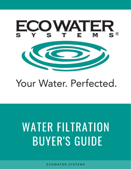

## Your Water, Perfected.

# WATER FILTRATION BUYER'S GUIDE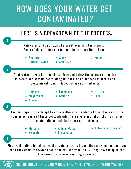## HOW DOES YOUR WATER GET CONTAMINATED?



SO THE QUESTION IS… HOW DOES THIS AFFECT YOUR DRINKING WATER?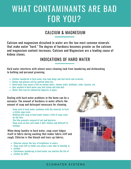## WHAT CONTAMINANTS ARE BAD FOR YOU?

### CALCIUM & MAGNESIUM

Calcium and magnesium dissolved in water are the two most common minerals that make water "hard." The degree of hardness becomes greater as the calcium and magnesium content increases. Calcium and Magnesium are a leading cause of kidney stones.

### INDICATIONS OF HARD WATER

Hard water interferes with almost every cleaning task from laundering and dishwashing to bathing and personal grooming.

- Clothes laundered in hard water may look dingy and feel harsh and scratchy.
- Dishes and glasses will be spotted when dry.
- Hard water may cause a film on shower doors, shower walls, bathtubs, sinks, faucets, etc.
- Hair washed in hard water may feel sticky and look dull.
- Water flow may be reduced by deposits in pipes.

Dealing with hard water problems in the home can be a nuisance. The amount of hardness in water affects the amount of soap and detergent necessary for cleaning.

Soap used in hard water combines with the minerals to form a sticky soap scum. Bathing with soap in hard water leaves a film of soap scum

on the skin.

The film prevents removal of soil and bacteria. Soap scum on hair will make it dull, lifeless and difficult to manage.

When doing laundry in hard water, soap scum lodges itself in fabric during washing that makes fabric stiff and rough. Chlorine is like bleach and tears up fabrics.

- Chlorine causes the loss of brightness in colors.
- Soap scum left in cloths can cause a sour odor to develop in
- $\bullet$  clothes.
- Continuous laundering in hard water can shorten the life of
- clothes by 50%.



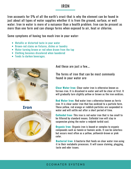#### IRON

Iron accounts for 5% of all the earth's crust-that is why the element can be found in just about all types of water supplies whether it is from the ground, surface, or well water. Iron in water is more of a nuisance than a health problem. Iron can be present as more than one form and can change forms when exposed to air, heat or chlorine.

Some symptoms of having too much iron in your water:

- Metallic or distorted taste in your water
- Brown-red stains on fixtures, dishes or laundry
- Water turning brown or red when drawn from the tap
- Clothing becomes discolored when laundered
- Tends to darken beverages.



Iron



And these are just a few….

The forms of iron that can be most commonly found in your water are:

**Clear Water Iron:** Clear water iron is otherwise known as ferrous iron. It is dissolved in water and will be clear at first. It will gradually turn slightly yellow or brown as the iron oxidizes.

**Red Water Iron:** Red water iron s otherwise known as ferric iron. It is clear water iron that has oxidized to a particle form. These yellow, red orange or reddish particles are suspended in water and will settle out after a short period of time.

**Colloidal Iron:** This iron is red water iron that is too small to be filtered by standard means. Colloidal iron will stay in suspension giving the water a redpink turbid cast.

**Organic Iron:** Organic iron is bound or complex to organic compounds such as tannin or humoic acids. It can be colorless but occurs most often as a yellow, yellowish-brown or pink color.

**Bacterial Iron:** A bacteria that feeds on clear water iron using it in their metabolic processes. It will cause staining, plugging, taste and odor issues.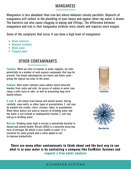### MANGANESE

Manganese is less abundant than iron but whose behavior closely parallels. Deposits of manganese will collect in the plumbing of your house and appear when tap water is drawn. The bacteria can also cause clogging in piping and fittings. The difference between manganese and iron is that manganese oxidizes more slowly and requires more oxygen.

Some of the symptoms that occur if you have a high level of manganese:

- Black sediment
- Blackish turbidity
- Black water
- Clogged pipes

## OTHER CONTAMINANTS

**Tannins:** When we refer to tannins in water supplies, we refer potentially to a number of such organic compounds that may be present. Two broad subcategories are humic and fulvic acids giving the typical tea color to the water.

**Sodium:** Most water contains some sodium which naturally leaches from rocks and soils. An excess of sodium in water may cause a salty taste or odor, as well as presenting long-term health effects.

**E-coli:** E. coli comes from human and animal wastes. During rainfalls, snow melts, or other types of precipitation, E. coli may be washed into creeks, rivers, streams, lakes, or groundwater. When these waters are used as sources of drinking water and the water is not treated or inadequately treated, E. coli may end up in drinking water.

**Nitrate:** Drinking water high in nitrate is potentially harmful to human and animal health. Nitrate (NO3) is a naturally occurring form of nitrogen (N) which is very mobile in water. It is essential for plant growth and is often added to soil to improve productivity.





**Bacteria** 

**There are many other contaminants to think about and the best way to see what is in your water is by contacting a company like EcoWater Systems and request a free water analysis**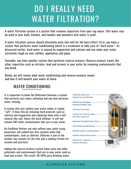## DO I REALLY NEED WATER FILTRATION?

A water filtration system is a system that removes impurities from your tap water. This water may be used in your bath, kitchen, and laundry and anywhere else water is used.

A water filtration system should ultimately work two-fold for the best effect: First, you have a system that performs water conditioning which is a treatment to take care of "hard water". As discussed earlier, hard water is caused by magnesium and calcium and can make your water extremely rough on your clothes, appliances and pipes.

Secondly, you have another system that performs reverse-osmosis. Reverse osmosis treats the other impurities such as nitrates, lead and arsenic in your water by removing contaminants that you drink.

Below, we will review what water conditioning and reverse-osmosis means and how it will benefit your water at home.

## WATER CONDITIONING

It is important to know the difference between a system that performs just water softening and one that performs water refining.

A system that just softens your water makes it simply "soft". It does this by removing hard minerals such as calcium and magnesium and replacing them with a soft mineral like salt, hence the word softener. It will not remove ANY other contaminants that are in your water.

An EcoWater Refiner not only softens your water using potassium, not sodium but also removes other bad contaminants, such as chlorine. Chlorine is one of the number one reasons for dry skin and a leading irritant for eczema and psoriasis.

Adding the reverse osmosis system takes away any other pollutants and contaminants that are in your water such as lead and arsenic. The result: 95-99% pure drinking water.

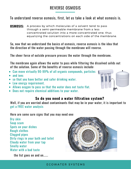## REVERSE OSMOSIS

#### To understand reverse osmosis, first, let us take a look at what osmosis is.

**OSMOSIS:** A process by which molecules of a solvent tend to pass through a semi-permeable membrane from a less concentrated solution into a more concentrated one, thus equalizing the concentrations on each side of the membrane.

So, now that we understand the basics of osmosis, reverse osmosis is the idea that the direction of the water passing through the membrane will reverse.

The sheer force of outside pressure presses the water through the membrane.

The membrane again allows the water to pass while filtering the dissolved solids out of the solution. Some of the benefits of reverse osmosis include:

- Can move virtually 90-99% of all organic compounds, particles
- and ions
- so that you have better and safer drinking water.
- Low energy requirement.
- Allows oxygen to pass so that the water does not taste flat.
- Does not require chemical additions to your water.

#### **So do you need a water filtration system?**

Well, if you are worried about contaminants that may be in your water, it is important to get a FREE water analysis

Here are some sure signs that you may need one:

Dry skin Soap scum Spots on your dishes Rough clothes Clogged pipes Dirty rings in your bath and toilet Cloudy water from your tap Smelly water Water with a bad taste

the list goes on and [on......](https://ecowaternewmexico.com/contact/)